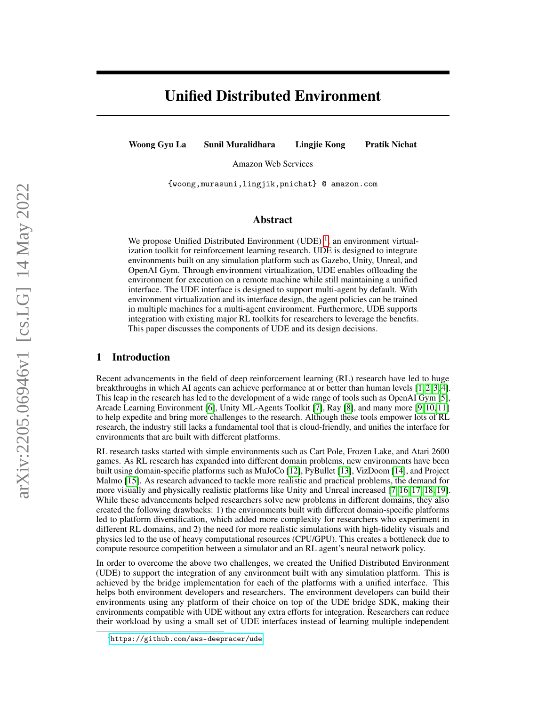# Unified Distributed Environment

Woong Gyu La Sunil Muralidhara Lingjie Kong Pratik Nichat

Amazon Web Services

{woong,murasuni,lingjik,pnichat} @ amazon.com

# Abstract

We propose Unified Distributed Environment (UDE)<sup>[1](#page-0-0)</sup>, an environment virtualization toolkit for reinforcement learning research. UDE is designed to integrate environments built on any simulation platform such as Gazebo, Unity, Unreal, and OpenAI Gym. Through environment virtualization, UDE enables offloading the environment for execution on a remote machine while still maintaining a unified interface. The UDE interface is designed to support multi-agent by default. With environment virtualization and its interface design, the agent policies can be trained in multiple machines for a multi-agent environment. Furthermore, UDE supports integration with existing major RL toolkits for researchers to leverage the benefits. This paper discusses the components of UDE and its design decisions.

### 1 Introduction

Recent advancements in the field of deep reinforcement learning (RL) research have led to huge breakthroughs in which AI agents can achieve performance at or better than human levels [\[1,](#page-6-0) [2,](#page-6-1) [3,](#page-6-2) [4\]](#page-6-3). This leap in the research has led to the development of a wide range of tools such as OpenAI Gym [\[5\]](#page-7-0), Arcade Learning Environment [\[6\]](#page-7-1), Unity ML-Agents Toolkit [\[7\]](#page-7-2), Ray [\[8\]](#page-7-3), and many more [\[9,](#page-7-4) [10,](#page-7-5) [11\]](#page-7-6) to help expedite and bring more challenges to the research. Although these tools empower lots of RL research, the industry still lacks a fundamental tool that is cloud-friendly, and unifies the interface for environments that are built with different platforms.

RL research tasks started with simple environments such as Cart Pole, Frozen Lake, and Atari 2600 games. As RL research has expanded into different domain problems, new environments have been built using domain-specific platforms such as MuJoCo [\[12\]](#page-7-7), PyBullet [\[13\]](#page-7-8), VizDoom [\[14\]](#page-7-9), and Project Malmo [\[15\]](#page-7-10). As research advanced to tackle more realistic and practical problems, the demand for more visually and physically realistic platforms like Unity and Unreal increased [\[7,](#page-7-2) [16,](#page-7-11) [17,](#page-7-12) [18,](#page-7-13) [19\]](#page-7-14). While these advancements helped researchers solve new problems in different domains, they also created the following drawbacks: 1) the environments built with different domain-specific platforms led to platform diversification, which added more complexity for researchers who experiment in different RL domains, and 2) the need for more realistic simulations with high-fidelity visuals and physics led to the use of heavy computational resources (CPU/GPU). This creates a bottleneck due to compute resource competition between a simulator and an RL agent's neural network policy.

In order to overcome the above two challenges, we created the Unified Distributed Environment (UDE) to support the integration of any environment built with any simulation platform. This is achieved by the bridge implementation for each of the platforms with a unified interface. This helps both environment developers and researchers. The environment developers can build their environments using any platform of their choice on top of the UDE bridge SDK, making their environments compatible with UDE without any extra efforts for integration. Researchers can reduce their workload by using a small set of UDE interfaces instead of learning multiple independent

<span id="page-0-0"></span><sup>1</sup> <https://github.com/aws-deepracer/ude>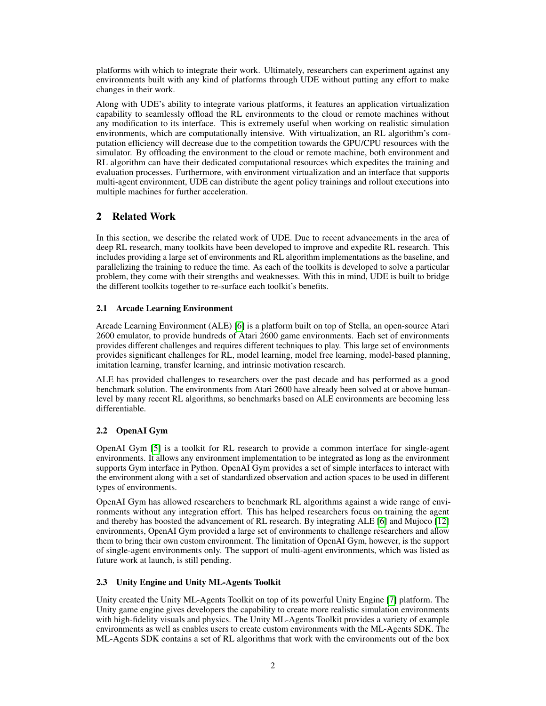platforms with which to integrate their work. Ultimately, researchers can experiment against any environments built with any kind of platforms through UDE without putting any effort to make changes in their work.

Along with UDE's ability to integrate various platforms, it features an application virtualization capability to seamlessly offload the RL environments to the cloud or remote machines without any modification to its interface. This is extremely useful when working on realistic simulation environments, which are computationally intensive. With virtualization, an RL algorithm's computation efficiency will decrease due to the competition towards the GPU/CPU resources with the simulator. By offloading the environment to the cloud or remote machine, both environment and RL algorithm can have their dedicated computational resources which expedites the training and evaluation processes. Furthermore, with environment virtualization and an interface that supports multi-agent environment, UDE can distribute the agent policy trainings and rollout executions into multiple machines for further acceleration.

# 2 Related Work

In this section, we describe the related work of UDE. Due to recent advancements in the area of deep RL research, many toolkits have been developed to improve and expedite RL research. This includes providing a large set of environments and RL algorithm implementations as the baseline, and parallelizing the training to reduce the time. As each of the toolkits is developed to solve a particular problem, they come with their strengths and weaknesses. With this in mind, UDE is built to bridge the different toolkits together to re-surface each toolkit's benefits.

# 2.1 Arcade Learning Environment

Arcade Learning Environment (ALE) [\[6\]](#page-7-1) is a platform built on top of Stella, an open-source Atari 2600 emulator, to provide hundreds of Atari 2600 game environments. Each set of environments provides different challenges and requires different techniques to play. This large set of environments provides significant challenges for RL, model learning, model free learning, model-based planning, imitation learning, transfer learning, and intrinsic motivation research.

ALE has provided challenges to researchers over the past decade and has performed as a good benchmark solution. The environments from Atari 2600 have already been solved at or above humanlevel by many recent RL algorithms, so benchmarks based on ALE environments are becoming less differentiable.

# 2.2 OpenAI Gym

OpenAI Gym [\[5\]](#page-7-0) is a toolkit for RL research to provide a common interface for single-agent environments. It allows any environment implementation to be integrated as long as the environment supports Gym interface in Python. OpenAI Gym provides a set of simple interfaces to interact with the environment along with a set of standardized observation and action spaces to be used in different types of environments.

OpenAI Gym has allowed researchers to benchmark RL algorithms against a wide range of environments without any integration effort. This has helped researchers focus on training the agent and thereby has boosted the advancement of RL research. By integrating ALE [\[6\]](#page-7-1) and Mujoco [\[12\]](#page-7-7) environments, OpenAI Gym provided a large set of environments to challenge researchers and allow them to bring their own custom environment. The limitation of OpenAI Gym, however, is the support of single-agent environments only. The support of multi-agent environments, which was listed as future work at launch, is still pending.

# 2.3 Unity Engine and Unity ML-Agents Toolkit

Unity created the Unity ML-Agents Toolkit on top of its powerful Unity Engine [\[7\]](#page-7-2) platform. The Unity game engine gives developers the capability to create more realistic simulation environments with high-fidelity visuals and physics. The Unity ML-Agents Toolkit provides a variety of example environments as well as enables users to create custom environments with the ML-Agents SDK. The ML-Agents SDK contains a set of RL algorithms that work with the environments out of the box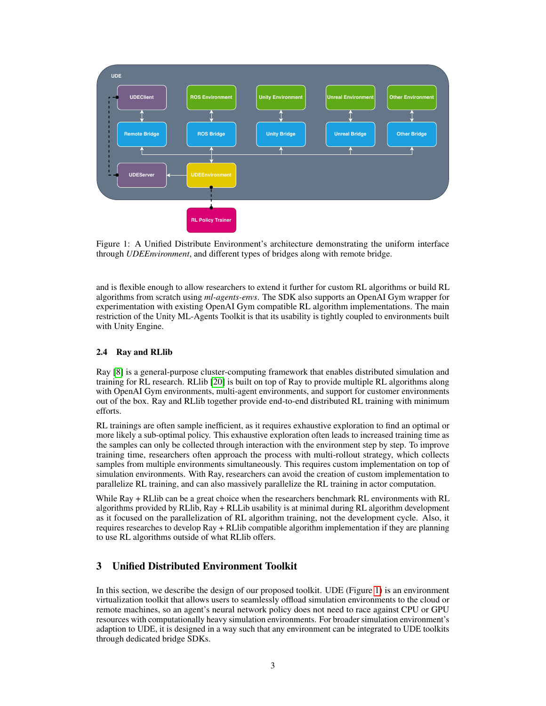<span id="page-2-0"></span>

Figure 1: A Unified Distribute Environment's architecture demonstrating the uniform interface through *UDEEnvironment*, and different types of bridges along with remote bridge.

and is flexible enough to allow researchers to extend it further for custom RL algorithms or build RL algorithms from scratch using *ml-agents-envs*. The SDK also supports an OpenAI Gym wrapper for experimentation with existing OpenAI Gym compatible RL algorithm implementations. The main restriction of the Unity ML-Agents Toolkit is that its usability is tightly coupled to environments built with Unity Engine.

#### 2.4 Ray and RLlib

Ray [\[8\]](#page-7-3) is a general-purpose cluster-computing framework that enables distributed simulation and training for RL research. RLlib [\[20\]](#page-7-15) is built on top of Ray to provide multiple RL algorithms along with OpenAI Gym environments, multi-agent environments, and support for customer environments out of the box. Ray and RLlib together provide end-to-end distributed RL training with minimum efforts.

RL trainings are often sample inefficient, as it requires exhaustive exploration to find an optimal or more likely a sub-optimal policy. This exhaustive exploration often leads to increased training time as the samples can only be collected through interaction with the environment step by step. To improve training time, researchers often approach the process with multi-rollout strategy, which collects samples from multiple environments simultaneously. This requires custom implementation on top of simulation environments. With Ray, researchers can avoid the creation of custom implementation to parallelize RL training, and can also massively parallelize the RL training in actor computation.

While Ray + RLlib can be a great choice when the researchers benchmark RL environments with RL algorithms provided by RLlib, Ray + RLLib usability is at minimal during RL algorithm development as it focused on the parallelization of RL algorithm training, not the development cycle. Also, it requires researches to develop Ray + RLlib compatible algorithm implementation if they are planning to use RL algorithms outside of what RLlib offers.

# 3 Unified Distributed Environment Toolkit

In this section, we describe the design of our proposed toolkit. UDE (Figure [1\)](#page-2-0) is an environment virtualization toolkit that allows users to seamlessly offload simulation environments to the cloud or remote machines, so an agent's neural network policy does not need to race against CPU or GPU resources with computationally heavy simulation environments. For broader simulation environment's adaption to UDE, it is designed in a way such that any environment can be integrated to UDE toolkits through dedicated bridge SDKs.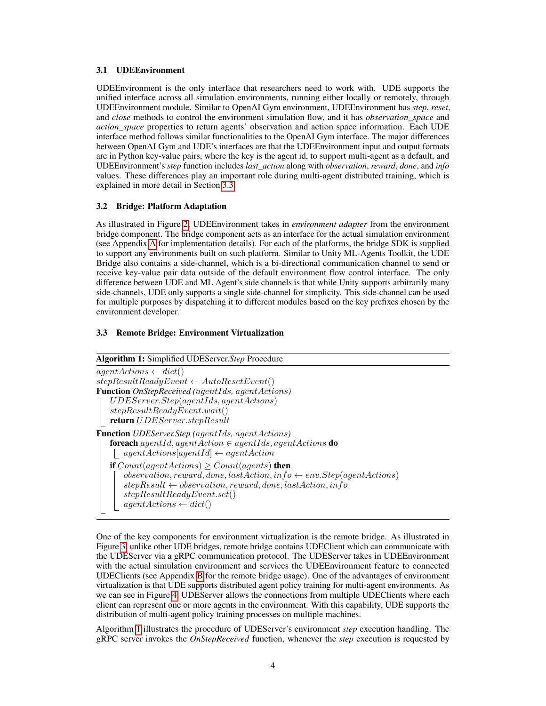#### 3.1 UDEEnvironment

UDEEnvironment is the only interface that researchers need to work with. UDE supports the unified interface across all simulation environments, running either locally or remotely, through UDEEnvironment module. Similar to OpenAI Gym environment, UDEEnvironment has *step*, *reset*, and *close* methods to control the environment simulation flow, and it has *observation\_space* and *action\_space* properties to return agents' observation and action space information. Each UDE interface method follows similar functionalities to the OpenAI Gym interface. The major differences between OpenAI Gym and UDE's interfaces are that the UDEEnvironment input and output formats are in Python key-value pairs, where the key is the agent id, to support multi-agent as a default, and UDEEnvironment's *step* function includes *last\_action* along with *observation*, *reward*, *done*, and *info* values. These differences play an important role during multi-agent distributed training, which is explained in more detail in Section [3.3.](#page-3-0)

#### 3.2 Bridge: Platform Adaptation

As illustrated in Figure [2,](#page-4-0) UDEEnvironment takes in *environment adapter* from the environment bridge component. The bridge component acts as an interface for the actual simulation environment (see Appendix [A](#page-9-0) for implementation details). For each of the platforms, the bridge SDK is supplied to support any environments built on such platform. Similar to Unity ML-Agents Toolkit, the UDE Bridge also contains a side-channel, which is a bi-directional communication channel to send or receive key-value pair data outside of the default environment flow control interface. The only difference between UDE and ML Agent's side channels is that while Unity supports arbitrarily many side-channels, UDE only supports a single side-channel for simplicity. This side-channel can be used for multiple purposes by dispatching it to different modules based on the key prefixes chosen by the environment developer.

#### <span id="page-3-0"></span>3.3 Remote Bridge: Environment Virtualization

# <span id="page-3-1"></span>Algorithm 1: Simplified UDEServer.*Step* Procedure  $agent Actions \leftarrow dict()$  $stepResultReadyEvent \leftarrow AutoResetEvent()$

One of the key components for environment virtualization is the remote bridge. As illustrated in Figure [3,](#page-4-0) unlike other UDE bridges, remote bridge contains UDEClient which can communicate with the UDEServer via a gRPC communication protocol. The UDEServer takes in UDEEnvironment with the actual simulation environment and services the UDEEnvironment feature to connected UDEClients (see Appendix [B](#page-9-1) for the remote bridge usage). One of the advantages of environment virtualization is that UDE supports distributed agent policy training for multi-agent environments. As we can see in Figure [4,](#page-5-0) UDEServer allows the connections from multiple UDEClients where each client can represent one or more agents in the environment. With this capability, UDE supports the distribution of multi-agent policy training processes on multiple machines.

Algorithm [1](#page-3-1) illustrates the procedure of UDEServer's environment *step* execution handling. The gRPC server invokes the *OnStepReceived* function, whenever the *step* execution is requested by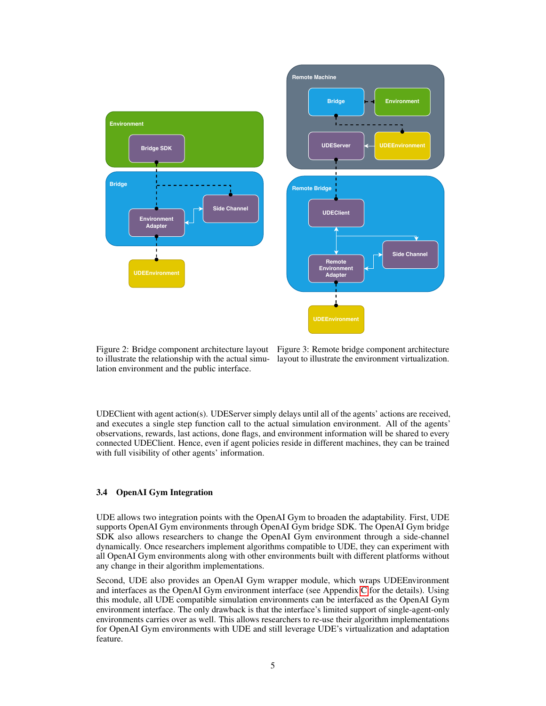<span id="page-4-0"></span>

to illustrate the relationship with the actual simu-layout to illustrate the environment virtualization. lation environment and the public interface.

Figure 2: Bridge component architecture layout Figure 3: Remote bridge component architecture

UDEClient with agent action(s). UDEServer simply delays until all of the agents' actions are received, and executes a single step function call to the actual simulation environment. All of the agents' observations, rewards, last actions, done flags, and environment information will be shared to every connected UDEClient. Hence, even if agent policies reside in different machines, they can be trained with full visibility of other agents' information.

#### <span id="page-4-1"></span>3.4 OpenAI Gym Integration

UDE allows two integration points with the OpenAI Gym to broaden the adaptability. First, UDE supports OpenAI Gym environments through OpenAI Gym bridge SDK. The OpenAI Gym bridge SDK also allows researchers to change the OpenAI Gym environment through a side-channel dynamically. Once researchers implement algorithms compatible to UDE, they can experiment with all OpenAI Gym environments along with other environments built with different platforms without any change in their algorithm implementations.

Second, UDE also provides an OpenAI Gym wrapper module, which wraps UDEEnvironment and interfaces as the OpenAI Gym environment interface (see Appendix [C](#page-10-0) for the details). Using this module, all UDE compatible simulation environments can be interfaced as the OpenAI Gym environment interface. The only drawback is that the interface's limited support of single-agent-only environments carries over as well. This allows researchers to re-use their algorithm implementations for OpenAI Gym environments with UDE and still leverage UDE's virtualization and adaptation feature.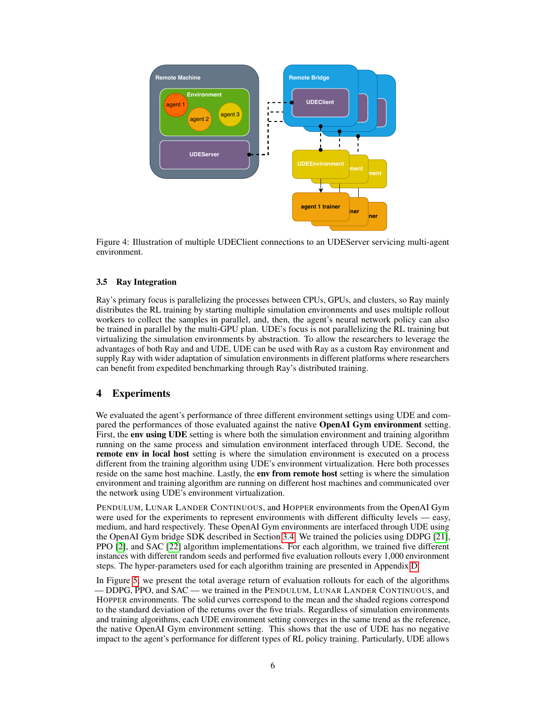<span id="page-5-0"></span>

Figure 4: Illustration of multiple UDEClient connections to an UDEServer servicing multi-agent environment.

### 3.5 Ray Integration

Ray's primary focus is parallelizing the processes between CPUs, GPUs, and clusters, so Ray mainly distributes the RL training by starting multiple simulation environments and uses multiple rollout workers to collect the samples in parallel, and, then, the agent's neural network policy can also be trained in parallel by the multi-GPU plan. UDE's focus is not parallelizing the RL training but virtualizing the simulation environments by abstraction. To allow the researchers to leverage the advantages of both Ray and and UDE, UDE can be used with Ray as a custom Ray environment and supply Ray with wider adaptation of simulation environments in different platforms where researchers can benefit from expedited benchmarking through Ray's distributed training.

# 4 Experiments

We evaluated the agent's performance of three different environment settings using UDE and compared the performances of those evaluated against the native OpenAI Gym environment setting. First, the **env using UDE** setting is where both the simulation environment and training algorithm running on the same process and simulation environment interfaced through UDE. Second, the remote env in local host setting is where the simulation environment is executed on a process different from the training algorithm using UDE's environment virtualization. Here both processes reside on the same host machine. Lastly, the **env from remote host** setting is where the simulation environment and training algorithm are running on different host machines and communicated over the network using UDE's environment virtualization.

PENDULUM, LUNAR LANDER CONTINUOUS, and HOPPER environments from the OpenAI Gym were used for the experiments to represent environments with different difficulty levels — easy, medium, and hard respectively. These OpenAI Gym environments are interfaced through UDE using the OpenAI Gym bridge SDK described in Section [3.4.](#page-4-1) We trained the policies using DDPG [\[21\]](#page-7-16), PPO [\[2\]](#page-6-1), and SAC [\[22\]](#page-8-0) algorithm implementations. For each algorithm, we trained five different instances with different random seeds and performed five evaluation rollouts every 1,000 environment steps. The hyper-parameters used for each algorithm training are presented in Appendix [D.](#page-10-1)

In Figure [5,](#page-6-4) we present the total average return of evaluation rollouts for each of the algorithms — DDPG, PPO, and SAC — we trained in the PENDULUM, LUNAR LANDER CONTINUOUS, and HOPPER environments. The solid curves correspond to the mean and the shaded regions correspond to the standard deviation of the returns over the five trials. Regardless of simulation environments and training algorithms, each UDE environment setting converges in the same trend as the reference, the native OpenAI Gym environment setting. This shows that the use of UDE has no negative impact to the agent's performance for different types of RL policy training. Particularly, UDE allows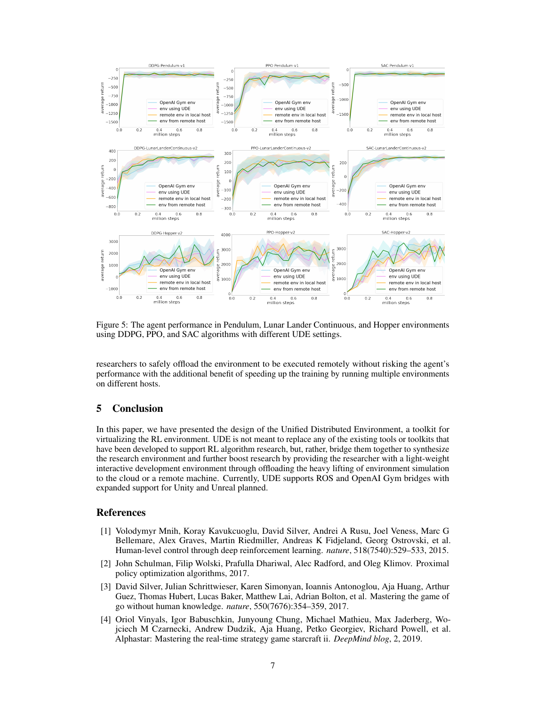<span id="page-6-4"></span>

Figure 5: The agent performance in Pendulum, Lunar Lander Continuous, and Hopper environments using DDPG, PPO, and SAC algorithms with different UDE settings.

researchers to safely offload the environment to be executed remotely without risking the agent's performance with the additional benefit of speeding up the training by running multiple environments on different hosts.

# 5 Conclusion

In this paper, we have presented the design of the Unified Distributed Environment, a toolkit for virtualizing the RL environment. UDE is not meant to replace any of the existing tools or toolkits that have been developed to support RL algorithm research, but, rather, bridge them together to synthesize the research environment and further boost research by providing the researcher with a light-weight interactive development environment through offloading the heavy lifting of environment simulation to the cloud or a remote machine. Currently, UDE supports ROS and OpenAI Gym bridges with expanded support for Unity and Unreal planned.

#### References

- <span id="page-6-0"></span>[1] Volodymyr Mnih, Koray Kavukcuoglu, David Silver, Andrei A Rusu, Joel Veness, Marc G Bellemare, Alex Graves, Martin Riedmiller, Andreas K Fidjeland, Georg Ostrovski, et al. Human-level control through deep reinforcement learning. *nature*, 518(7540):529–533, 2015.
- <span id="page-6-1"></span>[2] John Schulman, Filip Wolski, Prafulla Dhariwal, Alec Radford, and Oleg Klimov. Proximal policy optimization algorithms, 2017.
- <span id="page-6-2"></span>[3] David Silver, Julian Schrittwieser, Karen Simonyan, Ioannis Antonoglou, Aja Huang, Arthur Guez, Thomas Hubert, Lucas Baker, Matthew Lai, Adrian Bolton, et al. Mastering the game of go without human knowledge. *nature*, 550(7676):354–359, 2017.
- <span id="page-6-3"></span>[4] Oriol Vinyals, Igor Babuschkin, Junyoung Chung, Michael Mathieu, Max Jaderberg, Wojciech M Czarnecki, Andrew Dudzik, Aja Huang, Petko Georgiev, Richard Powell, et al. Alphastar: Mastering the real-time strategy game starcraft ii. *DeepMind blog*, 2, 2019.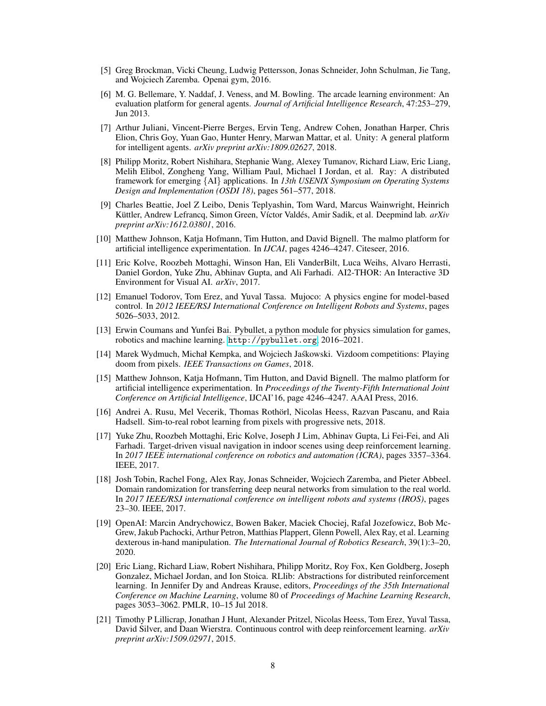- <span id="page-7-0"></span>[5] Greg Brockman, Vicki Cheung, Ludwig Pettersson, Jonas Schneider, John Schulman, Jie Tang, and Wojciech Zaremba. Openai gym, 2016.
- <span id="page-7-1"></span>[6] M. G. Bellemare, Y. Naddaf, J. Veness, and M. Bowling. The arcade learning environment: An evaluation platform for general agents. *Journal of Artificial Intelligence Research*, 47:253–279, Jun 2013.
- <span id="page-7-2"></span>[7] Arthur Juliani, Vincent-Pierre Berges, Ervin Teng, Andrew Cohen, Jonathan Harper, Chris Elion, Chris Goy, Yuan Gao, Hunter Henry, Marwan Mattar, et al. Unity: A general platform for intelligent agents. *arXiv preprint arXiv:1809.02627*, 2018.
- <span id="page-7-3"></span>[8] Philipp Moritz, Robert Nishihara, Stephanie Wang, Alexey Tumanov, Richard Liaw, Eric Liang, Melih Elibol, Zongheng Yang, William Paul, Michael I Jordan, et al. Ray: A distributed framework for emerging {AI} applications. In *13th USENIX Symposium on Operating Systems Design and Implementation (OSDI 18)*, pages 561–577, 2018.
- <span id="page-7-4"></span>[9] Charles Beattie, Joel Z Leibo, Denis Teplyashin, Tom Ward, Marcus Wainwright, Heinrich Küttler, Andrew Lefrancq, Simon Green, Víctor Valdés, Amir Sadik, et al. Deepmind lab. *arXiv preprint arXiv:1612.03801*, 2016.
- <span id="page-7-5"></span>[10] Matthew Johnson, Katja Hofmann, Tim Hutton, and David Bignell. The malmo platform for artificial intelligence experimentation. In *IJCAI*, pages 4246–4247. Citeseer, 2016.
- <span id="page-7-6"></span>[11] Eric Kolve, Roozbeh Mottaghi, Winson Han, Eli VanderBilt, Luca Weihs, Alvaro Herrasti, Daniel Gordon, Yuke Zhu, Abhinav Gupta, and Ali Farhadi. AI2-THOR: An Interactive 3D Environment for Visual AI. *arXiv*, 2017.
- <span id="page-7-7"></span>[12] Emanuel Todorov, Tom Erez, and Yuval Tassa. Mujoco: A physics engine for model-based control. In *2012 IEEE/RSJ International Conference on Intelligent Robots and Systems*, pages 5026–5033, 2012.
- <span id="page-7-8"></span>[13] Erwin Coumans and Yunfei Bai. Pybullet, a python module for physics simulation for games, robotics and machine learning. <http://pybullet.org>, 2016–2021.
- <span id="page-7-9"></span>[14] Marek Wydmuch, Michał Kempka, and Wojciech Jaskowski. Vizdoom competitions: Playing ´ doom from pixels. *IEEE Transactions on Games*, 2018.
- <span id="page-7-10"></span>[15] Matthew Johnson, Katja Hofmann, Tim Hutton, and David Bignell. The malmo platform for artificial intelligence experimentation. In *Proceedings of the Twenty-Fifth International Joint Conference on Artificial Intelligence*, IJCAI'16, page 4246–4247. AAAI Press, 2016.
- <span id="page-7-11"></span>[16] Andrei A. Rusu, Mel Vecerik, Thomas Rothörl, Nicolas Heess, Razvan Pascanu, and Raia Hadsell. Sim-to-real robot learning from pixels with progressive nets, 2018.
- <span id="page-7-12"></span>[17] Yuke Zhu, Roozbeh Mottaghi, Eric Kolve, Joseph J Lim, Abhinav Gupta, Li Fei-Fei, and Ali Farhadi. Target-driven visual navigation in indoor scenes using deep reinforcement learning. In *2017 IEEE international conference on robotics and automation (ICRA)*, pages 3357–3364. IEEE, 2017.
- <span id="page-7-13"></span>[18] Josh Tobin, Rachel Fong, Alex Ray, Jonas Schneider, Wojciech Zaremba, and Pieter Abbeel. Domain randomization for transferring deep neural networks from simulation to the real world. In *2017 IEEE/RSJ international conference on intelligent robots and systems (IROS)*, pages 23–30. IEEE, 2017.
- <span id="page-7-14"></span>[19] OpenAI: Marcin Andrychowicz, Bowen Baker, Maciek Chociej, Rafal Jozefowicz, Bob Mc-Grew, Jakub Pachocki, Arthur Petron, Matthias Plappert, Glenn Powell, Alex Ray, et al. Learning dexterous in-hand manipulation. *The International Journal of Robotics Research*, 39(1):3–20, 2020.
- <span id="page-7-15"></span>[20] Eric Liang, Richard Liaw, Robert Nishihara, Philipp Moritz, Roy Fox, Ken Goldberg, Joseph Gonzalez, Michael Jordan, and Ion Stoica. RLlib: Abstractions for distributed reinforcement learning. In Jennifer Dy and Andreas Krause, editors, *Proceedings of the 35th International Conference on Machine Learning*, volume 80 of *Proceedings of Machine Learning Research*, pages 3053–3062. PMLR, 10–15 Jul 2018.
- <span id="page-7-16"></span>[21] Timothy P Lillicrap, Jonathan J Hunt, Alexander Pritzel, Nicolas Heess, Tom Erez, Yuval Tassa, David Silver, and Daan Wierstra. Continuous control with deep reinforcement learning. *arXiv preprint arXiv:1509.02971*, 2015.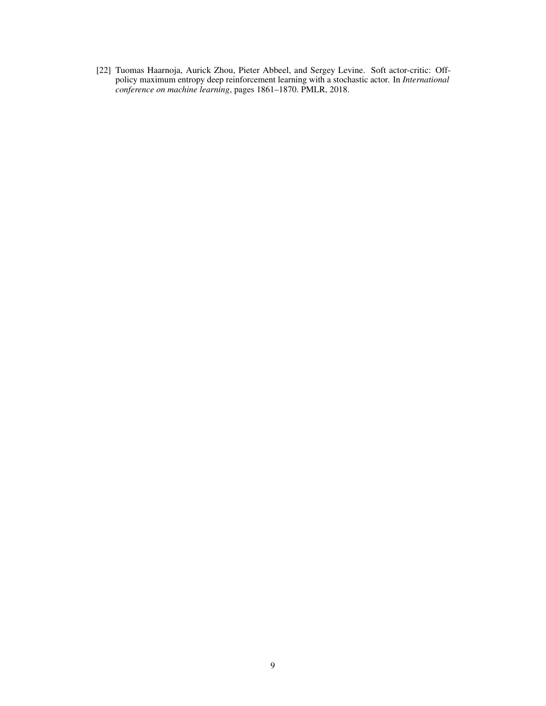<span id="page-8-0"></span>[22] Tuomas Haarnoja, Aurick Zhou, Pieter Abbeel, and Sergey Levine. Soft actor-critic: Offpolicy maximum entropy deep reinforcement learning with a stochastic actor. In *International conference on machine learning*, pages 1861–1870. PMLR, 2018.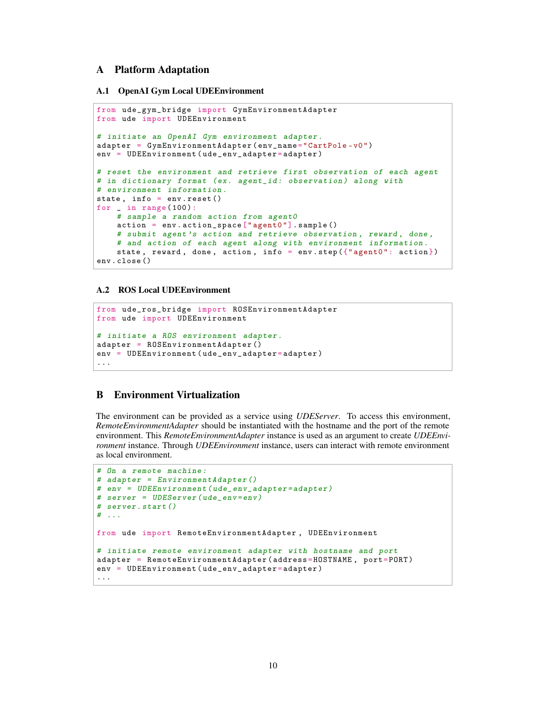# <span id="page-9-0"></span>A Platform Adaptation

#### A.1 OpenAI Gym Local UDEEnvironment

```
from ude_gym_bridge import GymEnvironmentAdapter
from ude import UDEEnvironment
# initiate an OpenAI Gym environment adapter .
adapter = GymEnvironmentAdapter ( env_name =" CartPole -v0")
env = UDEEnvironment ( ude_env_adapter = adapter )
# reset the environment and retrieve first observation of each agent
# in dictionary format (ex. agent_id: observation) along with
# environment information .
state , info = env . reset ()
for \angle in range (100):
    # sample a random action from agent0
    action = env . action_space [" agent0 "]. sample ()
    # submit agent's action and retrieve observation, reward, done,
    # and action of each agent along with environment information .
   state, reward, done, action, info = env.step({}{"agent0": action})
env . close ()
```
#### A.2 ROS Local UDEEnvironment

```
from ude_ros_bridge import ROSEnvironmentAdapter
from ude import UDEEnvironment
# initiate a ROS environment adapter .
adapter = ROSEnvironmentAdapter ()
env = UDEEnvironment ( ude_env_adapter = adapter )
...
```
# <span id="page-9-1"></span>B Environment Virtualization

The environment can be provided as a service using *UDEServer*. To access this environment, *RemoteEnvironmentAdapter* should be instantiated with the hostname and the port of the remote environment. This *RemoteEnvironmentAdapter* instance is used as an argument to create *UDEEnvironment* instance. Through *UDEEnvironment* instance, users can interact with remote environment as local environment.

```
# On a remote machine :
# adapter = EnvironmentAdapter ()
# env = UDEEnvironment ( ude_env_adapter = adapter )
# server = UDEServer ( ude_env =env)
# server . start ()
# ...
from ude import RemoteEnvironmentAdapter , UDEEnvironment
# initiate remote environment adapter with hostname and port
adapter = RemoteEnvironmentAdapter ( address = HOSTNAME , port = PORT )
env = UDEEnvironment ( ude_env_adapter = adapter )
...
```